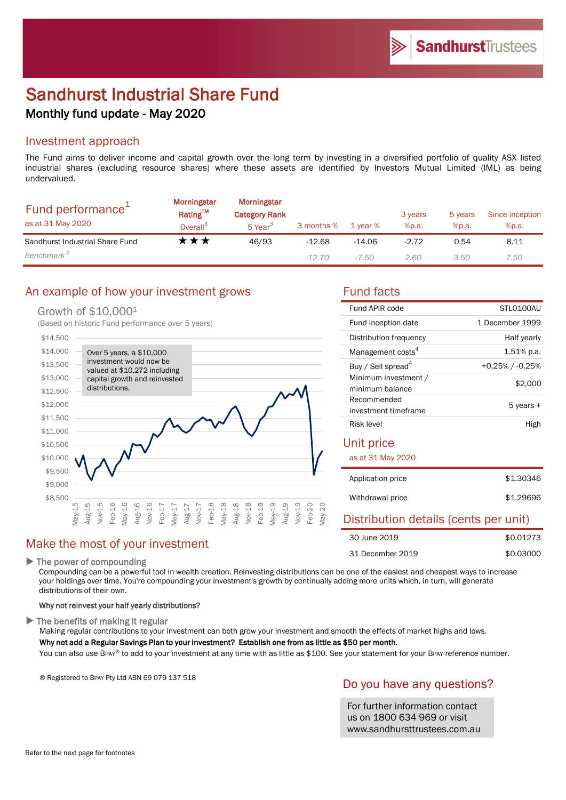# Sandhurst Industrial Share Fund Monthly fund update - May 2020

#### Investment approach

The Fund aims to deliver income and capital growth over the long term by investing in a diversified portfolio of quality ASX listed industrial shares (excluding resource shares) where these assets are identified by Investors Mutual Limited (IML) as being undervalued.

| Fund performance <sup>+</sup><br>as at 31 May 2020 | <b>Morningstar</b><br>Rating™<br>Overall <sup>3</sup> | <b>Morningstar</b><br><b>Category Rank</b><br>5 Year <sup>3</sup> | 3 months % | 1 year % | 3 years<br>%p.a. | 5 years<br>%p.a. | Since inception<br>%p.a. |
|----------------------------------------------------|-------------------------------------------------------|-------------------------------------------------------------------|------------|----------|------------------|------------------|--------------------------|
| Sandhurst Industrial Share Fund                    | k ★ ★                                                 | 46/93                                                             | $-12.68$   | $-14.06$ | $-2.72$          | 0.54             | 8.11                     |
| Benchmark <sup>2</sup>                             |                                                       |                                                                   | $-12.70$   | $-7.50$  | 2.60             | 3.50             | 7.50                     |

## An example of how your investment grows Fund facts

#### Growth of \$10,000<sup>1</sup>

(Based on historic Fund performance over 5 years)



## Make the most of your investment

#### $\blacktriangleright$  The power of compounding

Compounding can be a powerful tool in wealth creation. Reinvesting distributions can be one of the easiest and cheapest ways to increase your holdings over time. You're compounding your investment's growth by continually adding more units which, in turn, will generate distributions of their own.

#### Why not reinvest your half yearly distributions?

 $\blacktriangleright$  The benefits of making it regular

Making regular contributions to your investment can both grow your investment and smooth the effects of market highs and lows. Why not add a Regular Savings Plan to your investment? Establish one from as little as \$50 per month.

You can also use BPAY® to add to your investment at any time with as little as \$100. See your statement for your BPAY reference number.

® Registered to BPAY Pty Ltd ABN 69 079 137 518

## Do you have any questions?

For further information contact us on 1800 634 969 or visit www.sandhursttrustees.com.au

| Fund APIR code                 | STI 0100AU         |  |
|--------------------------------|--------------------|--|
| Fund inception date            | 1 December 1999    |  |
| Distribution frequency         | Half yearly        |  |
| Management costs <sup>4</sup>  | $1.51\%$ p.a.      |  |
| Buy / Sell spread <sup>4</sup> | $+0.25\%$ / -0.25% |  |
| Minimum investment /           | \$2,000            |  |
| minimum balance                |                    |  |
| Recommended                    | 5 years +          |  |
| investment timeframe           |                    |  |
| Risk level                     | High               |  |

#### Unit price

#### as at 31 May 2020

| Application price | \$1,30346 |
|-------------------|-----------|
| Withdrawal price  | \$1,29696 |

# Distribution details (cents per unit)

| 30 June 2019     | \$0.01273 |
|------------------|-----------|
| 31 December 2019 | \$0.03000 |